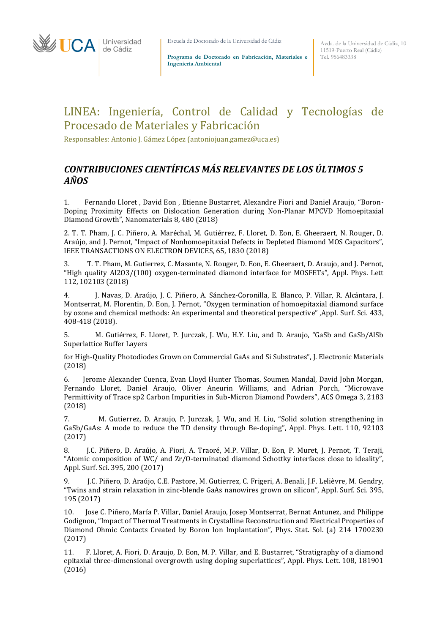

Escuela de Doctorado de la Universidad de Cádiz

**Programa de Doctorado en Fabricación, Materiales e Ingeniería Ambiental**

Avda. de la Universidad de Cádiz, 10 11519-Puerto Real (Cádiz) Tel. 956483338

## LINEA: Ingeniería, Control de Calidad y Tecnologías de Procesado de Materiales y Fabricación

Responsables: Antonio J. Gámez López [\(antoniojuan.gamez@uca.es\)](mailto:antoniojuan.gamez@uca.es)

## *CONTRIBUCIONES CIENTÍFICAS MÁS RELEVANTES DE LOS ÚLTIMOS 5 AÑOS*

1. Fernando Lloret , David Eon , Etienne Bustarret, Alexandre Fiori and Daniel Araujo, "Boron-Doping Proximity Effects on Dislocation Generation during Non-Planar MPCVD Homoepitaxial Diamond Growth", Nanomaterials 8, 480 (2018)

2. T. T. Pham, J. C. Piñero, A. Maréchal, M. Gutiérrez, F. Lloret, D. Eon, E. Gheeraert, N. Rouger, D. Araújo, and J. Pernot, "Impact of Nonhomoepitaxial Defects in Depleted Diamond MOS Capacitors", IEEE TRANSACTIONS ON ELECTRON DEVICES, 65, 1830 (2018)

3. T. T. Pham, M. Gutierrez, C. Masante, N. Rouger, D. Eon, E. Gheeraert, D. Araujo, and J. Pernot, "High quality Al2O3/(100) oxygen-terminated diamond interface for MOSFETs", Appl. Phys. Lett 112, 102103 (2018)

4. J. Navas, D. Araújo, J. C. Piñero, A. Sánchez-Coronilla, E. Blanco, P. Villar, R. Alcántara, J. Montserrat, M. Florentin, D. Eon, J. Pernot, "Oxygen termination of homoepitaxial diamond surface by ozone and chemical methods: An experimental and theoretical perspective" ,Appl. Surf. Sci. 433, 408-418 (2018).

5. M. Gutiérrez, F. Lloret, P. Jurczak, J. Wu, H.Y. Liu, and D. Araujo, "GaSb and GaSb/AlSb Superlattice Buffer Layers

for High-Quality Photodiodes Grown on Commercial GaAs and Si Substrates", J. Electronic Materials (2018)

6. Jerome Alexander Cuenca, Evan Lloyd Hunter Thomas, Soumen Mandal, David John Morgan, Fernando Lloret, Daniel Araujo, Oliver Aneurin Williams, and Adrian Porch, "Microwave Permittivity of Trace sp2 Carbon Impurities in Sub-Micron Diamond Powders", ACS Omega 3, 2183 (2018)

7. M. Gutierrez, D. Araujo, P. Jurczak, J. Wu, and H. Liu, "Solid solution strengthening in GaSb/GaAs: A mode to reduce the TD density through Be-doping", Appl. Phys. Lett. 110, 92103 (2017)

8. J.C. Piñero, D. Araújo, A. Fiori, A. Traoré, M.P. Villar, D. Eon, P. Muret, J. Pernot, T. Teraji, "Atomic composition of WC/ and Zr/O-terminated diamond Schottky interfaces close to ideality", Appl. Surf. Sci. 395, 200 (2017)

9. J.C. Piñero, D. Araújo, C.E. Pastore, M. Gutierrez, C. Frigeri, A. Benali, J.F. Lelièvre, M. Gendry, "Twins and strain relaxation in zinc-blende GaAs nanowires grown on silicon", Appl. Surf. Sci. 395, 195 (2017)

10. Jose C. Piñero, María P. Villar, Daniel Araujo, Josep Montserrat, Bernat Antunez, and Philippe Godignon, "Impact of Thermal Treatments in Crystalline Reconstruction and Electrical Properties of Diamond Ohmic Contacts Created by Boron Ion Implantation", Phys. Stat. Sol. (a) 214 1700230 (2017)

11. F. Lloret, A. Fiori, D. Araujo, D. Eon, M. P. Villar, and E. Bustarret, "Stratigraphy of a diamond epitaxial three-dimensional overgrowth using doping superlattices", Appl. Phys. Lett. 108, 181901 (2016)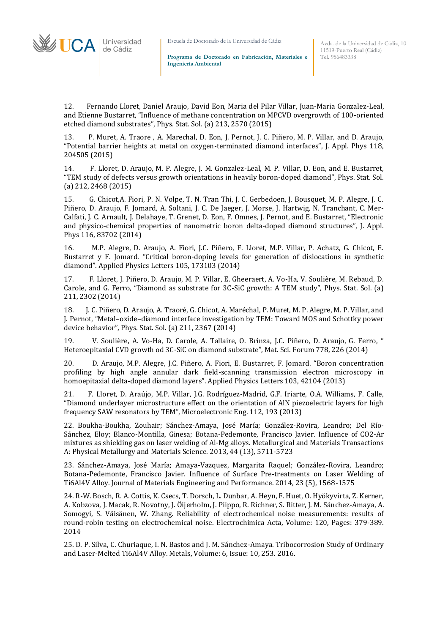Escuela de Doctorado de la Universidad de Cádiz

**Programa de Doctorado en Fabricación, Materiales e Ingeniería Ambiental**

12. Fernando Lloret, Daniel Araujo, David Eon, Maria del Pilar Villar, Juan-Maria Gonzalez-Leal, and Etienne Bustarret, "Influence of methane concentration on MPCVD overgrowth of 100-oriented etched diamond substrates", Phys. Stat. Sol. (a) 213, 2570 (2015)

13. P. Muret, A. Traore , A. Marechal, D. Eon, J. Pernot, J. C. Piñero, M. P. Villar, and D. Araujo, "Potential barrier heights at metal on oxygen-terminated diamond interfaces", J. Appl. Phys 118, 204505 (2015)

14. F. Lloret, D. Araujo, M. P. Alegre, J. M. Gonzalez-Leal, M. P. Villar, D. Eon, and E. Bustarret, "TEM study of defects versus growth orientations in heavily boron-doped diamond", Phys. Stat. Sol. (a) 212, 2468 (2015)

15. G. Chicot,A. Fiori, P. N. Volpe, T. N. Tran Thi, J. C. Gerbedoen, J. Bousquet, M. P. Alegre, J. C. Piñero, D. Araujo, F. Jomard, A. Soltani, J. C. De Jaeger, J. Morse, J. Hartwig, N. Tranchant, C. Mer-Calfati, J. C. Arnault, J. Delahaye, T. Grenet, D. Eon, F. Omnes, J. Pernot, and E. Bustarret, "Electronic and physico-chemical properties of nanometric boron delta-doped diamond structures", J. Appl. Phys 116, 83702 (2014)

16. M.P. Alegre, D. Araujo, A. Fiori, J.C. Piñero, F. Lloret, M.P. Villar, P. Achatz, G. Chicot, E. Bustarret y F. Jomard. "Critical boron-doping levels for generation of dislocations in synthetic diamond". Applied Physics Letters 105, 173103 (2014)

17. F. Lloret, J. Piñero, D. Araujo, M. P. Villar, E. Gheeraert, A. Vo-Ha, V. Soulière, M. Rebaud, D. Carole, and G. Ferro, "Diamond as substrate for 3C-SiC growth: A TEM study", Phys. Stat. Sol. (a) 211, 2302 (2014)

18. J. C. Piñero, D. Araujo, A. Traoré, G. Chicot, A. Maréchal, P. Muret, M. P. Alegre, M. P. Villar, and J. Pernot, "Metal–oxide–diamond interface investigation by TEM: Toward MOS and Schottky power device behavior", Phys. Stat. Sol. (a) 211, 2367 (2014)

19. V. Soulière, A. Vo-Ha, D. Carole, A. Tallaire, O. Brinza, J.C. Piñero, D. Araujo, G. Ferro, " Heteroepitaxial CVD growth od 3C-SiC on diamond substrate", Mat. Sci. Forum 778, 226 (2014)

20. D. Araujo, M.P. Alegre, J.C. Piñero, A. Fiori, E. Bustarret, F. Jomard. "Boron concentration profiling by high angle annular dark field-scanning transmission electron microscopy in homoepitaxial delta-doped diamond layers". Applied Physics Letters 103, 42104 (2013)

21. F. Lloret, D. Araújo, M.P. Villar, J.G. Rodríguez-Madrid, G.F. Iriarte, O.A. Williams, F. Calle, "Diamond underlayer microstructure effect on the orientation of AlN piezoelectric layers for high frequency SAW resonators by TEM", Microelectronic Eng. 112, 193 (2013)

22. Boukha-Boukha, Zouhair; Sánchez-Amaya, José María; González-Rovira, Leandro; Del Río-Sánchez, Eloy; Blanco-Montilla, Ginesa; Botana-Pedemonte, Francisco Javier. Influence of CO2-Ar mixtures as shielding gas on laser welding of Al-Mg alloys. Metallurgical and Materials Transactions A: Physical Metallurgy and Materials Science. 2013, 44 (13), 5711-5723

23. Sánchez-Amaya, José María; Amaya-Vazquez, Margarita Raquel; González-Rovira, Leandro; Botana-Pedemonte, Francisco Javier. Influence of Surface Pre-treatments on Laser Welding of Ti6Al4V Alloy. Journal of Materials Engineering and Performance. 2014, 23 (5), 1568-1575

24. R-W. Bosch, R. A. Cottis, K. Csecs, T. Dorsch, L. Dunbar, A. Heyn, F. Huet, O. Hyökyvirta, Z. Kerner, A. Kobzova, J. Macak, R. Novotny, J. Öijerholm, J. Piippo, R. Richner, S. Ritter, J. M. Sánchez-Amaya, A. Somogyi, S. Väisänen, W. Zhang. Reliability of electrochemical noise measurements: results of round-robin testing on electrochemical noise. Electrochimica Acta, Volume: 120, Pages: 379-389. 2014

25. D. P. Silva, C. Churiaque, I. N. Bastos and J. M. Sánchez-Amaya. Tribocorrosion Study of Ordinary and Laser-Melted Ti6Al4V Alloy. Metals, Volume: 6, Issue: 10, 253. 2016.